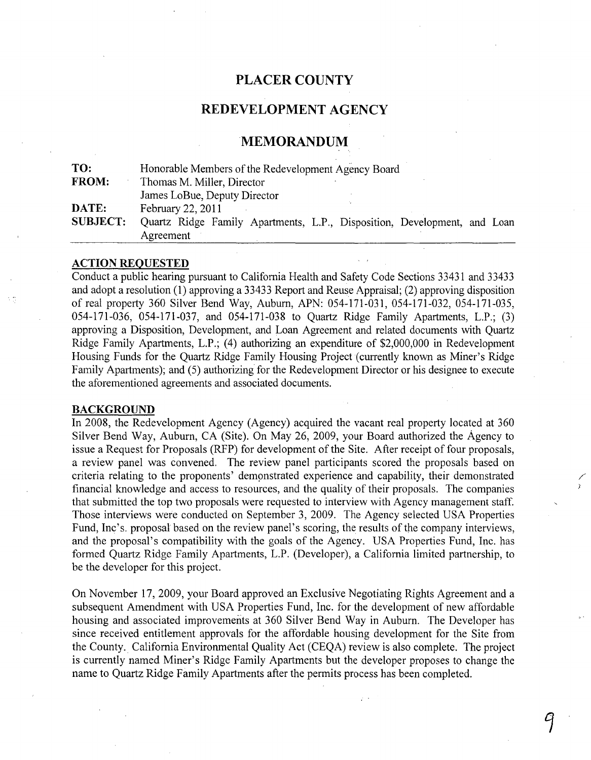## **PLACER COUNTY**

## REDEVELOPMENT AGENCY

## **MEMORANDUM**

| TO:             | Honorable Members of the Redevelopment Agency Board                      |
|-----------------|--------------------------------------------------------------------------|
| <b>FROM:</b>    | Thomas M. Miller, Director                                               |
|                 | James LoBue, Deputy Director                                             |
| DATE:           | February 22, 2011                                                        |
| <b>SUBJECT:</b> | Quartz Ridge Family Apartments, L.P., Disposition, Development, and Loan |
|                 | Agreement                                                                |

#### **ACTION REQUESTED**

Conduct a public hearing pursuant to California Health and Safety Code Sections 33431 and 33433 and adopt a resolution (1) approving a 33433 Report and Reuse Appraisal; (2) approving disposition of real property 360 Silver Bend Way, Auburn, APN: 054-171-031, 054-171-032, 054-171-035, 054-171-036, 054-171-037, and 054-171-038 to Quartz Ridge Family Apartments, L.P.; (3) approving a Disposition, Development, and Loan Agreement and related documents with Quartz Ridge Family Apartments, L.P.; (4) authorizing an expenditure of \$2,000,000 in Redevelopment Housing Funds for the Quartz Ridge Family Housing Project(currently known as Miner's Ridge Family Apartments); and (5) authorizing for the Redevelopment Director or his designee to execute the aforementioned agreements and associated documents.

#### **BACKGROUND**

**In** 2008, the Redevelopment Agency (Agency) acquired the vacant real property located at 360 Silver Bend Way, Auburn, CA (Site). On May 26, 2009, your Board authorized the Agency to issue a Request for Proposals (RFP) for development of the Site. After receipt of four proposals, a review panel was convened. The review panel participants scored the proposals based on criteria relating to the proponents' demonstrated experience and capability, their demonstrated financial knowledge and access to resources, and the quality of their proposals. The companies that submitted the top two proposals were requested to interview with Agency management staff. Those interviews were conducted on September 3, 2009. The Agency selected USA Properties Fund, Inc's. proposal based on the review panel's scoring, the results of the company interviews, and the proposal's compatibility with the goals of the Agency. USA Properties Fund, Inc. has formed Quartz Ridge Family Apartments, L.P. (Developer), a California limited partnership, to be the deVeloper for this project.

/

On November 17,2009, your Board approved an Exclusive Negotiating Rights Agreement and a subsequent Amendment with USA Properties Fund, Inc. for the development of new affordable housing and associated improvements at 360 Silver Bend Way in Auburn. The Developer has since received entitlement approvals for the affordable housing development for the Site from the County. California Environmental Quality Act (CEQA) review is also complete. The project is currently named Miner's Ridge Family Apartments but the developer proposes to change the name to Quartz Ridge Family Apartments after the permits process has been completed.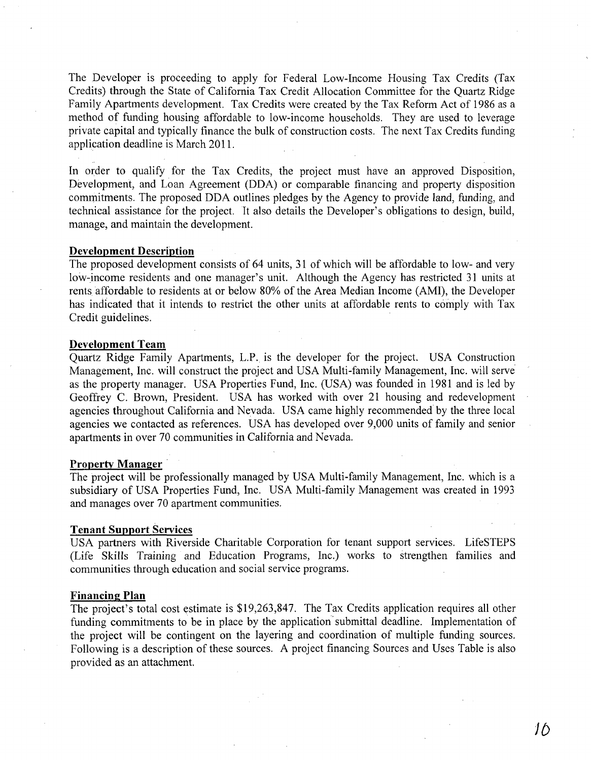The Developer is proceeding to apply for Federal Low-Income Housing Tax Credits (Tax Credits) through the State of California Tax Credit Allocation Committee for the Quartz Ridge Family Apartments development. Tax Credits were created by the Tax Reform Act of 1986 as a method of funding housing affordable to low-income households. They are used to leverage private capital and typically finance the bulk of construction costs. The next Tax Credits funding application deadline is March 2011.

In order to qualify for the Tax Credits, the project must have an approved Disposition, Development, and Loan Agreement (DDA) or comparable financing and property disposition commitments. The proposed DDA outlines pledges by the Agency to provide land, funding, and technical assistance for the project. It also details the Developer's obligations to design, build, manage, and maintain the development.

#### **Development Description**

The proposed development consists of 64 units, 31 of which will be affordable to low- and very low-income residents and one manager's unit. Although the Agency has restricted 31 units at rents affordable to residents at or below 80% of the Area Median Income (AMI), the Developer has indicated that it intends to restrict the other units at affordable rents to comply with Tax Credit guidelines.

#### **Development Team**

Quartz Ridge Family Apartments, L.P. is the developer for the project. USA Construction Management, Inc. will construct the project and USA Multi-family Management, Inc. will serve as the property manager. USA Properties Fund, Inc. (USA) was founded in 1981 and is led by Geoffrey C. Brown, President. USA has worked with over 21 housing and redevelopment agencies throughout California and Nevada. USA came highly recommended by the three local agencies we contacted as references. USA has developed over 9,000 units of family and senior apartments in over 70 communities in California and Nevada.

#### **Property Manager**

The project will be professionally managed by USA Multi-family Management, Inc. which is a subsidiary of USA Properties Fund, Inc. USA Multi-family Management was created in 1993 and manages over 70 apartment communities.

#### **Tenant Support** Services

USA partners with Riverside Charitable Corporation for tenant support services. LifeSTEPS (Life Skills Training and Education Programs, Inc.) works to strengthen families and communities through education and social service programs.

#### **Financing Plan**

The project's total cost estimate is \$19,263,847. The Tax Credits application requires all other funding commitments to be in place by the application submittal deadline. Implementation of the project will be contingent on the layering and coordination of multiple funding sources. Following is a description of these sources. A project financing Sources and Uses Table is also provided as an attachment.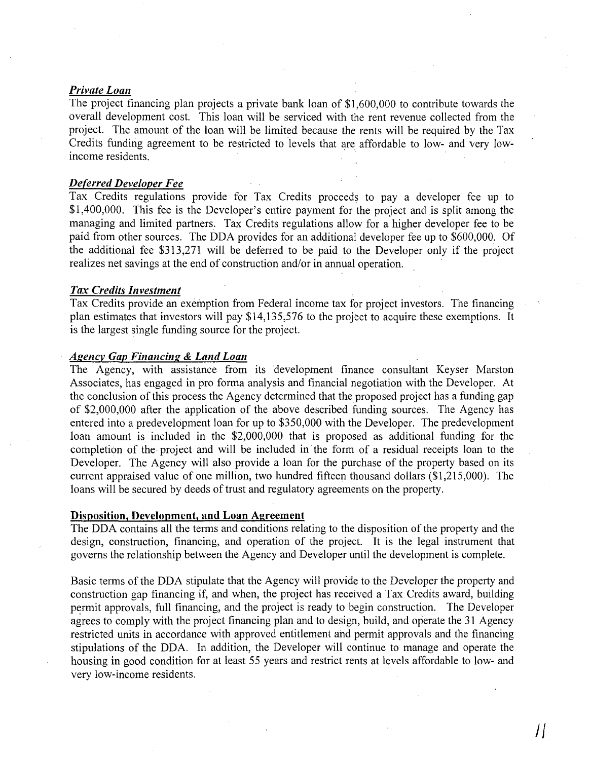#### *Private Loan*

The project financing plan projects a private bank loan of \$1,600,000 to contribute towards the overall development cost. This loan will be serviced with the rent revenue collected from the project. The amount of the loan will be limited because the rents will be required by the Tax Credits funding agreement to be restricted to levels that are affordable to low- and very lowincome residents. .

#### *Deferred Developer Fee*

Tax Credits regulations provide for Tax Credits proceeds to pay a developer fee up to \$1,400,000. This fee is the Developer's entire payment for the project and is split among the managing and limited partners. Tax Credits regulations allow for a higher developer fee to be paid from other sources. The DDA provides for an additional developer fee up to \$600,000. Of the additional fee \$313,271 will be deferred to be paid to the Developer only if the project realizes net savings at the end of construction and/or in annual operation.

#### *Tax Credits Investment*

Tax Credits provide an exemption from Federal income tax for project investors. The financing plan estimates that investors will pay \$14,135,576 to the project to acquire these exemptions. It is the largest single funding source for the project.

#### *Agency Gap Financing* & *Land Loan*

The Agency, with assistance from its development finance consultant Keyser Marston Associates, has engaged in pro forma analysis and financial negotiation with the Developer. At the conclusion of this process the Agency determined that the proposed project has a funding gap of \$2,000,000 after the application of the above described funding sources. The Agency has entered into a predevelopment loan for up to \$350,000 with the Developer. The predevelopment loan amount is included in the \$2,000,000 that is proposed as additional funding for the completion of the· project and will be included in the form of a residual receipts loan to the Developer. The Agency will also provide a loan for the purchase of the property based on its current appraised value of one million, two hundred fifteen thousand dollars (\$1,215,000). The loans will be secured by deeds of trust and regulatory agreements on the property.

#### Disposition, Development, and Loan Agreement

The DDA contains all the terms and conditions relating to the disposition of the property and the design, construction, financing, and operation of the project. It is the legal instrument that governs the relationship between the Agency and Developer until the development is complete.

Basic terms of the DDA stipulate that the Agency will provide to the Developer the property and construction gap financing if, and when, the project has received a Tax Credits award, building permit approvals, full financing, and the project is ready to begin construction. The Developer agrees to comply with the project financing plan and to design, build, and operate the 31 Agency restricted units in accordance with approved entitlement and permit approvals and the financing stipulations of the DDA. In addition, the Developer will continue to manage and operate the housing in good condition for at least 55 years and restrict rents at levels affordable to low- and very low-income residents.

 $\iint$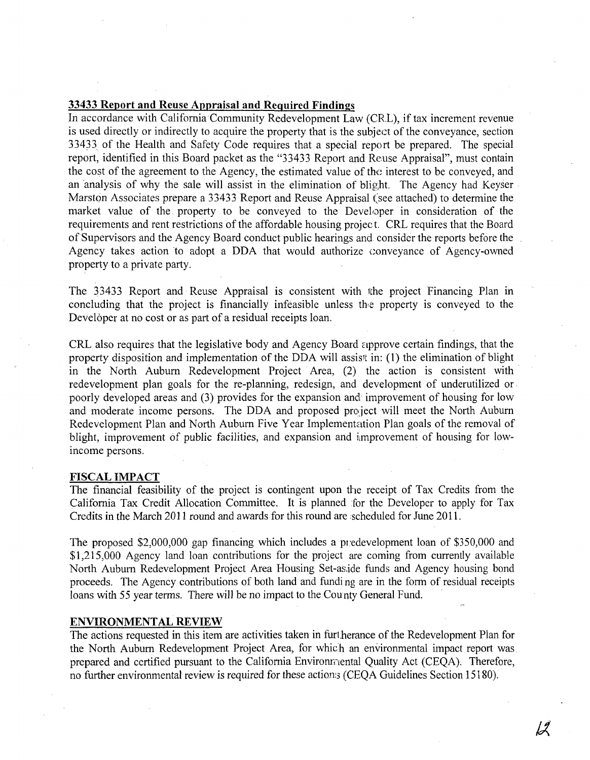### **33433 Report and Reuse Appraisal and Required Findings**

In accordance with California Community Redevelopment Law (CRL), if tax increment revenue is used directly or indirectly to acquire the property that is the subject of the conveyance, section 33433 of the Health and Safety Code requires that a special report be prepared. The special report, identified in this Board packet as the "33433 Report and Reuse Appraisal", must contain the cost of the agreement to the Agency, the estimated value of the interest to be conveyed, and an analysis of why the sale will assist in the elimination of blight. The Agency had Keyser Marston Associates prepare a 33433 Report and Reuse Appraisal (see attached) to determine the market value of the property to be conveyed to the Developer in consideration of the requirements and rent restrictions of the affordable housing projec t. CRL requires that the Board of Supervisors and the Agency Board conduct public hearings and consider the reports before the Agency takes action to adopt a DDA that would authorize conveyance of Agency-owned property to a private party.

The 33433 Report and Reuse Appraisal is consistent with the project Financing Plan in concluding that the project is financially infeasible unless the property is conveyed to the Developer at no cost or as part of a residual receipts loan.

CRL also requires that the legislative body and Agency Board approve certain findings, that the property disposition and implementation of the DDA will assist in: (1) the elimination of blight in the North Auburn Redevelopment Project Area, (2) the action is consistent with redevelopment plan goals for the re-planning, redesign, and development of underutilized or· poorly developed areas and (3) provides for the expansion and improvement of housing for low and moderate income persons. The DDA and proposed project will meet the North Auburn Redevelopment Plan and North Auburn Five Year Implementation Plan goals of the removal of blight, improvement of public facilities, and expansion and improvement of housing for lowincome persons.

#### **FISCAL IMPACT**

The financial feasibility of the project is contingent upon the receipt of Tax Credits from the California Tax Credit Allocation Committee. It is planned for the Developer to apply for Tax Credits in the March 2011 round and awards for this round are scheduled for June 2011.

The proposed \$2,000,000 gap financing which includes a predevelopment loan of \$350,000 and \$1,215,000 Agency land loan contributions for the project are coming from currently available North Auburn Redevelopment Project Area Housing Set-as,ide funds and Agency housing bond proceeds. The Agency contributions of both land and funding are in the form of residual receipts loans with 55 year terms. There will be no impact to the County General Fund.

#### **ENVIRONMENTAL REVIEW**

The actions requested in this item are activities taken in furt.herance of the Redevelopment Plan for the North Auburn Redevelopment Project Area, for which an environmental impact report was prepared and certified pursuant to the California Environmental Quality Act (CEQA). Therefore, no further environmental review is required for these actions (CEQA Guidelines Section 15180).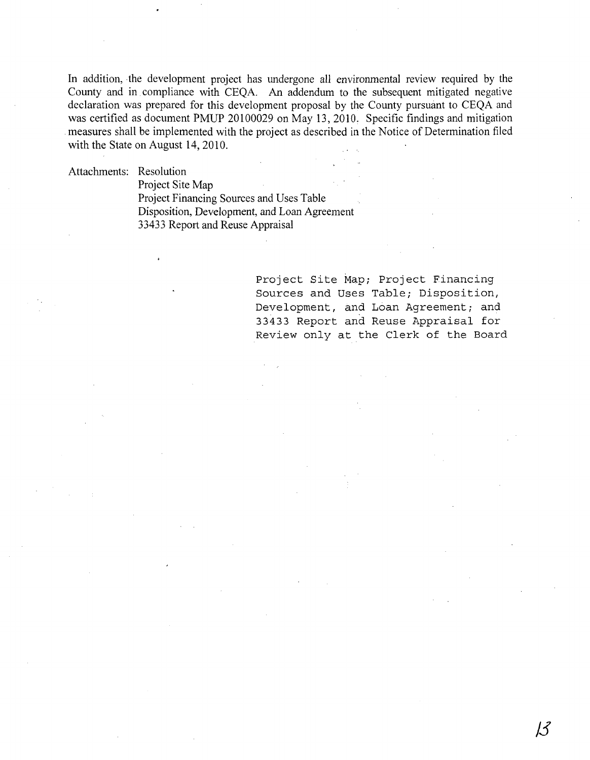In addition, the development project has undergone all environmental review required by the County and in compliance with CEQA. An addendum to the subsequent mitigated negative declaration was prepared for this development proposal by the County pursuant to CEQA and was certified as document PMUP 20100029 on May 13,2010, Specific findings and mitigation measures shall be implemented with the project as described in the Notice of Determination filed with the State on August 14,2010.

Attachments: Resolution

Project Site Map Project Financing Sources and Uses Table Disposition, Development, and Loan Agreement 33433 Report and Reuse Appraisal

> Project Site Map; Project Financing Sources and Uses Table; Disposition, Development, and Loan Agreement; and 33433 Report and Reuse Appraisal for Review only at the Clerk of the Board

> > **/3**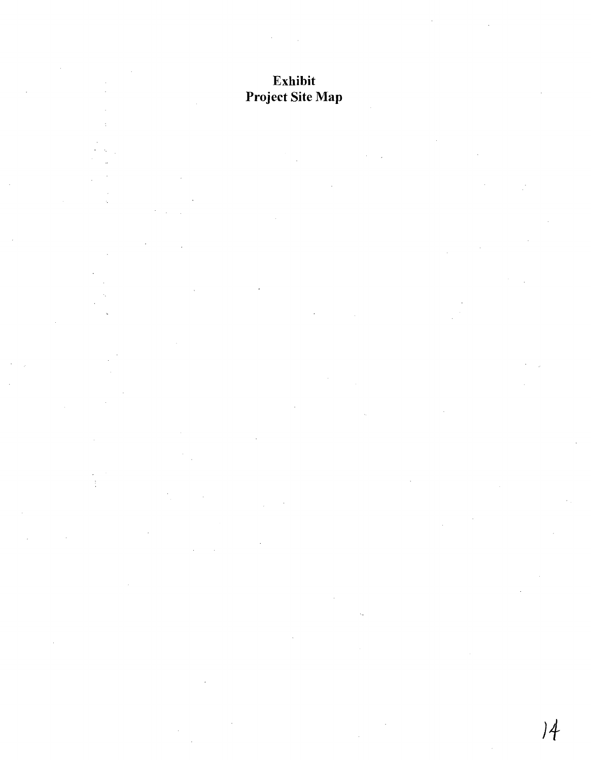# Exhibit Project Site Map

 $\frac{1}{2}$ 

 $)4$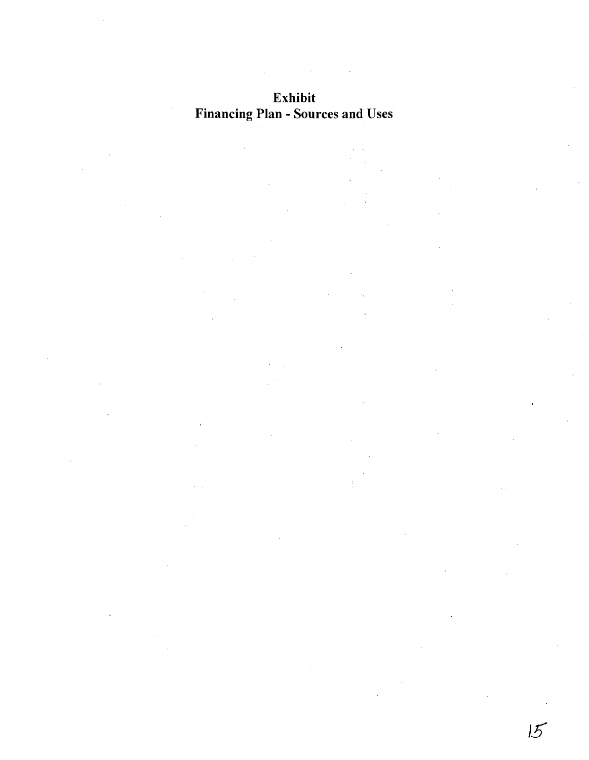# **Exhibit Financing Plan -** Sources **and** Uses

 $15$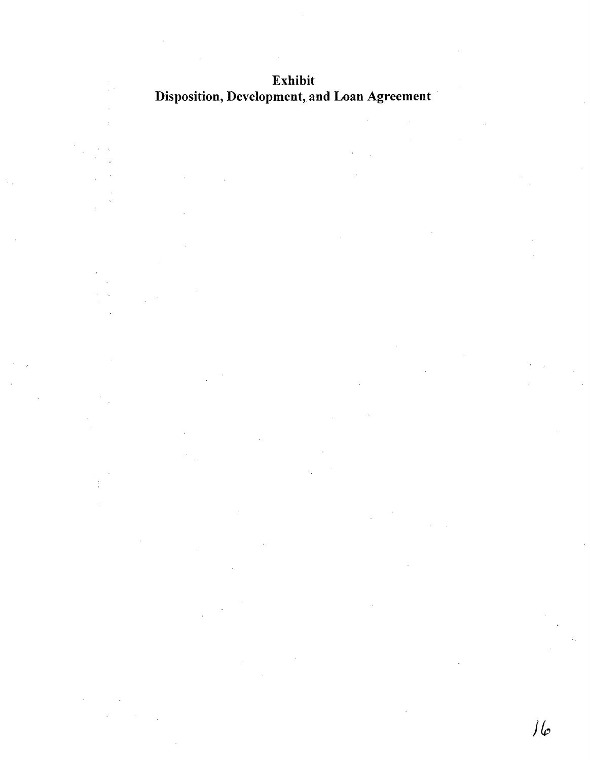Exhibit Disposition, Development, and Loan Agreement

 $\int \int \varphi$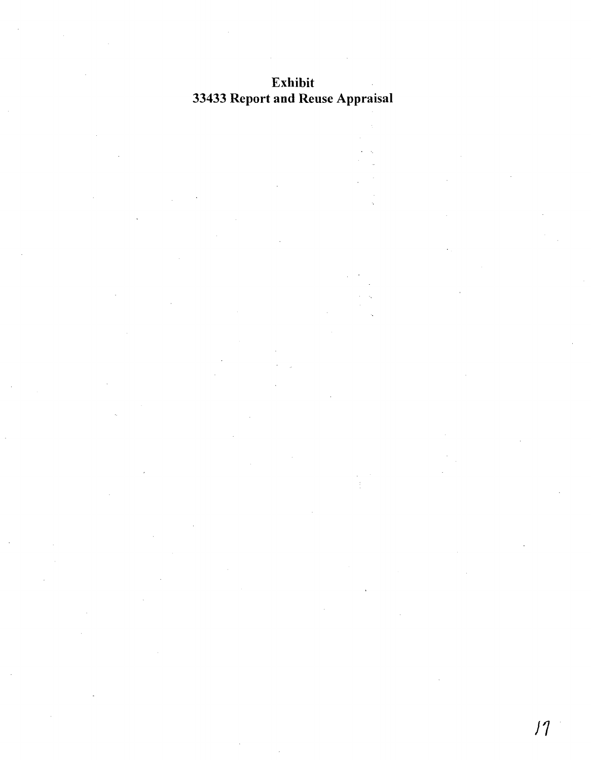# Exhibit 33433 Report and Reuse Appraisal

)1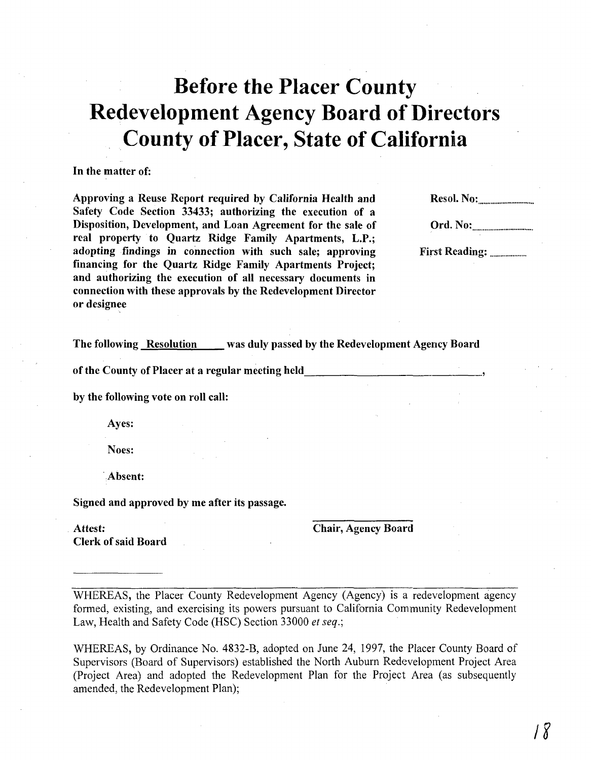# **Before the Placer County Redevelopment Agency Board of Directors**  .. **County of Placer, State of California**

#### **In** the matter of:

Approving a Reuse Report required by California Health and Safety Code Section 33433; authorizing the execution of a Disposition, Development, and Loan Agreement for the sale of real property to Quartz Ridge Family Apartments, L.P.; adopting findings in connection with such sale; approving financing for the Quartz Ridge Family Apartments Project; and authorizing the execution of all necessary documents in connection with these approvals by the Redevelopment Director or designee

Resol. No: ............................... .

Ord. No: .................................. .

First Reading: .................... .

The following Resolution was duly passed by the Redevelopment Agency Board

of the County of Placer at a regular meeting held.  $\blacksquare$ 

by the following vote on roll call:

Ayes:

Noes:

·Absent:

Signed and approved by me after its passage.

Attest: Chair, Agency Board

Clerk of said Board

WHEREAS, the Placer County Redevelopment Agency (Agency) is a redevelopment agency formed, existing, and exercising its powers pursuant to California Community Redevelopment Law, Health and Safety Code (HSC) Section 33000 *et seq.;* 

WHEREAS, by Ordinance No. 4832-B, adopted on June 24, 1997, the Placer County Board of Supervisors (Board of Supervisors) established the North Auburn Redevelopment Project Area (Project Area) and adopted the Redevelopment Plan for the Project Area (as subsequently amended, the Redevelopment Plan);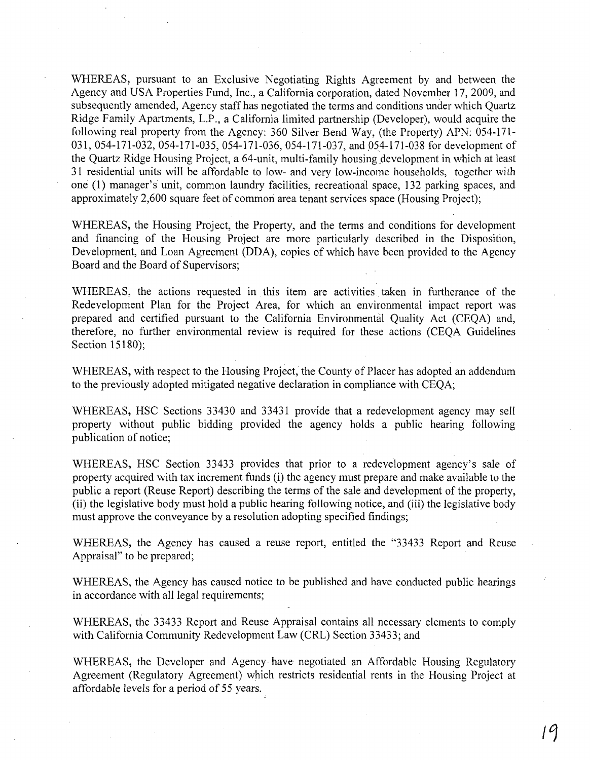WHEREAS, pursuant to an Exclusive Negotiating Rights Agreement by and between the Agency and USA Properties Fund, Inc., a California corporation, dated November 17,2009, and subsequently amended, Agency staff has negotiated the terms and conditions under which Quartz Ridge Family Apartments, L.P., a California limited partnership (Developer), would acquire the following real property from the Agency: 360 Silver Bend Way, (the Property) APN: 054-171- 031, 054-171-032, 054-171-035, 054-171-036, 054-171-037, and 054-171-038 for development of the Quartz Ridge Housing Project, a 64-unit, multi-family housing development in which at least 31 residential units will be affordable to low- and very low-income households, together with one (1) manager's unit, common laundry facilities, recreational space, 132 parking spaces, and approximately 2,600 square feet of common area tenant services space (Housing Project);

WHEREAS, the Housing Project, the Property, and the terms and conditions for development and financing of the Housing Project are more particularly described in the Disposition, Development, and Loan Agreement (DDA), copies of which have been provided to the Agency Board and the Board of Supervisors;

WHEREAS, the actions requested in this item are activities taken in furtherance of the Redevelopment Plan for the Project Area, for which an environmental impact report was prepared and certified pursuant to the California Environmental Quality Act (CEQA) and, therefore, no further environmental review is required for these actions (CEQA Guidelines Section 15180);

WHEREAS, with respect to the Housing Project, the County of Placer has adopted an addendum to the previously adopted mitigated negative declaration in compliance with CEQA;

WHEREAS, HSC Sections 33430 and 33431 provide that a redevelopment agency may sell property without public bidding provided the agency holds a public hearing following publication of notice;

WHEREAS, HSC Section 33433 provides that prior to a redevelopment agency's sale of property acquired with tax increment funds (i) the agency must prepare and make available to the public a report (Reuse Report) describing the terms of the sale and development of the property, (ii) the legislative body must hold a public hearing following notice, and (iii) the legislative body must approve the conveyance by a resolution adopting specified findings;

WHEREAS, the Agency has caused a reuse report, entitled the "33433 Report and Reuse Appraisal" to be prepared;

WHEREAS, the Agency has caused notice to be published and have conducted public hearings in accordance with all legal requirements;

WHEREAS, the 33433 Report and Reuse Appraisal contains all necessary elements to comply with California Community Redevelopment Law (CRL) Section 33433; and

WHEREAS, the Developer and Agency· have negotiated an Affordable Housing Regulatory Agreement (Regulatory Agreement) which restricts residential rents in the Housing Project at affordable levels for a period of 55 years.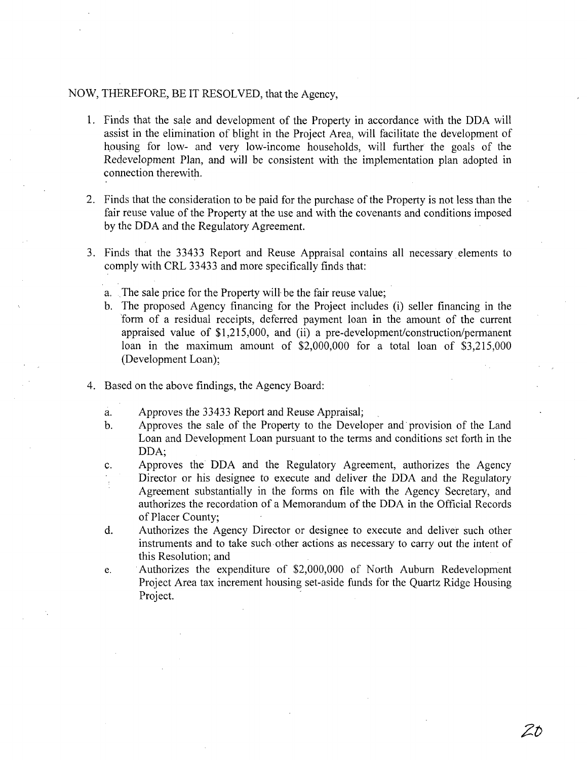#### NOW, THEREFORE, BE IT RESOLVED, that the Agency,

- 1. Finds that the sale and development of the Property in accordance with the DDA will assist in the elimination of blight in the Project Area, will facilitate the development of housing for low- and very low-income households, will further the goals of the Redevelopment Plan, and will be consistent with the implementation plan adopted in connection therewith.
- 2. Finds that the consideration to be paid for the purchase of the Property is not less than the fair reuse value of the Property at the use and with the covenants and conditions imposed by the DDA and the Regulatory Agreement.
- 3. Finds that the 33433 Report and Reuse Appraisal contains all necessary elements to comply with CRL 33433 and more specifically finds that:
	- a. The sale price for the Property will be the fair reuse value;
	- b. The proposed Agency financing for the Project includes (i) seller financing in the form of a residual receipts, deferred payment loan in the amount of the current appraised value of  $$1,215,000$ , and (ii) a pre-development/construction/permanent loan in the maximum amount of \$2,000,000 for a total loan of \$3,215,000 (Development Loan);
- 4. Based on the above findings, the Agency Board:
	- a. Approves the 33433 Report and Reuse Appraisal;
	- b. Approves the sale of the Property to the Developer and· provision of the Land Loan and Development Loan pursuant to the terms and conditions set forth in the DDA;
	- c. Approves the DDA and the Regulatory Agreement, authorizes the Agency Director or his designee to execute and deliver the DDA and the Regulatory Agreement substantially in the forms on file with the Agency Secretary, and authorizes the recordation of a Memorandum of the DDA in the Official Records of Placer County;
	- d. Authorizes the Agency Director or designee to execute and deliver such other instruments and to take such other actions as necessary to carry out the intent of this Resolution; and
	- e. Authorizes the expenditure of \$2,000,000 of North Auburn Redevelopment Project Area tax increment housing set-aside funds for the Quartz Ridge Housing Project.

Zt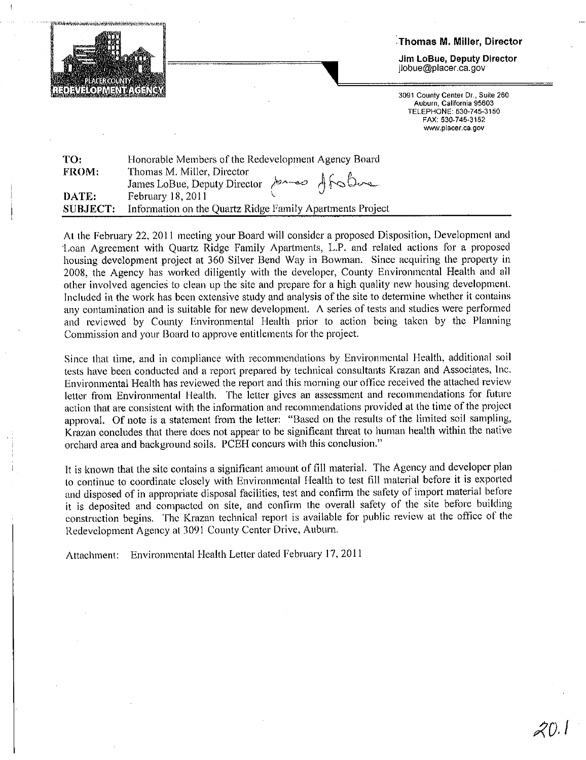

Thomas M. Miller, Director

Jim LoBue, Deputy Director jlobue@placer.ca.gov

3091 County Center Dr., Suite 260 Auburn, California 95603 TELEPHONE: 530-745-3150 FAX: 530-745-3152 www.placer.ca.gov

| TO:             | Honorable Members of the Redevelopment Agency Board              |
|-----------------|------------------------------------------------------------------|
| <b>FROM:</b>    | Thomas M. Miller, Director<br>James LoBue, Deputy Director 10000 |
|                 |                                                                  |
| DATE:           | February 18, 2011                                                |
| <b>SUBJECT:</b> | Information on the Quartz Ridge Family Apartments Project        |

At the February 22, 2011 meeting your Board will consider a proposed Disposition, Development and Loan Agreement with Quartz Ridge Family Apartments, L.P. and related actions for a proposed housing development project at 360 Silver Bend Way in Bowman. Since acquiring the property in 2008, the Agency has worked diligently with the developer, County Environmental Health and all other involved agencies to clean up the site and prepare for a high quality new housing development. Included in the work has been extensive study and analysis of the site to determine whether it contains any contamination and is suitable for new development. A series of tests and studies were performed and reviewed by County Environmental Health prior to action being taken by the Planning Commission and your Board to approve entitlements for the project.

Since that time, and in compliance with recommendations by Environmental Health, additional soil tests have been conducted and a report prepared by technical consultants Krazan and Associates, Inc. Environmental Health has reviewed the report and this morning our office received the attached review letter from Environmental Health. The letter gives an assessment and recommendations for future action that are consistent with the information and recommendations provided at the time of the project approval. Of note is a statement from the letter: "Based on the results of the limited soil sampling, Krazan concludes that there does not appear to be significant threat to human health within the native orchard area and background soils. PCEH concurs with this conclusion."

It is known that the site contains a significant amount of fill material. The Agency and developer plan to continue to coordinate closely with Environmental Health to test fill material before it is exported and disposed of in appropriate disposal facilities, test and confirm the safety of import material before it is deposited and compacted on site, and confirm the overall safety of the site before building construction begins. The Krazan technical report is available for public review at the office of the Redevelopment Agency at 3091 County Center Drive, Auburn.

Attachment: Environmental Health Letter dated February 17, 2011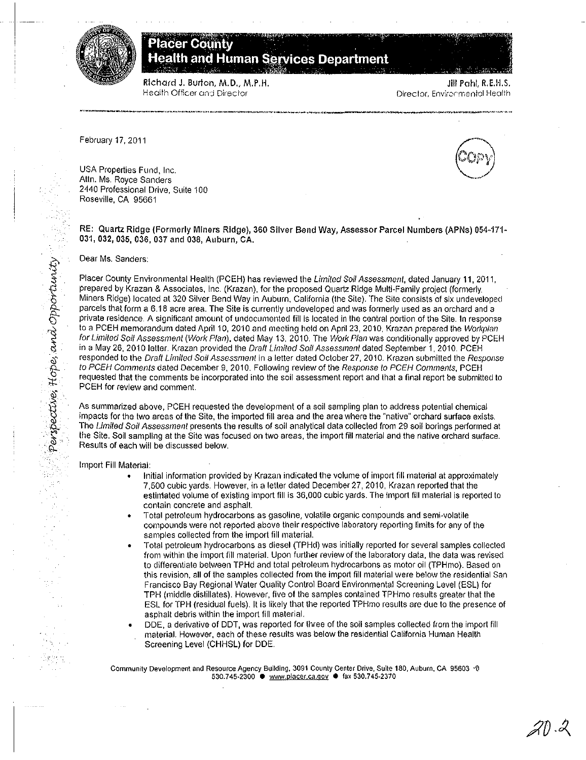



Richard J. Burton, M.D., M.P.H. Health Officer and Director

Jill Pahl, R.E.H.S. Director, Environmental Health

February 17, 2011

USA Properties Fund, Inc. Attn. Ms. Royce Sanders 2440 Professional Drive, Suite 100 Roseville, CA 95661

RE: Quartz Ridge (Formerly Miners Ridge), 360 Silver Bend Way, Assessor Parcel Numbers (APNs) 054-171-031, 032, 035, 036, 037 and 038, Auburn, CA.

Dear Ms. Sanders:

Perspective, Hope, and Opportunity

in<br>Si

Placer County Environmental Health (PCEH) has reviewed the Limited Soil Assessment, dated January 11, 2011. prepared by Krazan & Associates, Inc. (Krazan), for the proposed Quartz Ridge Multi-Family project (formerly Miners Ridge) located at 320 Silver Bend Way in Auburn, California (the Site). The Site consists of six undeveloped parcels that form a 6.18 acre area. The Site is currently undeveloped and was formerly used as an orchard and a private residence. A significant amount of undocumented fill is located in the central portion of the Site. In response to a PCEH memorandum dated April 10, 2010 and meeting held on April 23, 2010. Krazan prepared the Workplan for Limited Soil Assessment (Work Plan), dated May 13, 2010. The Work Plan was conditionally approved by PCEH in a May 26, 2010 letter. Krazan provided the Draft Limited Soil Assessment dated September 1, 2010. PCEH responded to the Draft Limited Soil Assessment in a letter dated October 27, 2010. Krazan submitted the Response to PCEH Comments dated December 9, 2010, Following review of the Response to PCEH Comments, PCEH requested that the comments be incorporated into the soil assessment report and that a final report be submitted to PCEH for review and comment.

As summarized above, PCEH requested the development of a soil sampling plan to address potential chemical impacts for the two areas of the Site, the imported fill area and the area where the "native" orchard surface exists. The Limited Soil Assessment presents the results of soil analytical data collected from 29 soil borings performed at the Site. Soil sampling at the Site was focused on two areas, the import fill material and the native orchard surface. Results of each will be discussed below.

Import Fill Material:

- Initial information provided by Krazan indicated the volume of import fill material at approximately 7,500 cubic yards. However, in a letter dated December 27, 2010, Krazan reported that the estimated volume of existing import fill is 36,000 cubic yards. The import fill material is reported to contain concrete and asphalt.
- Total petroleum hydrocarbons as gasoline, volatile organic compounds and semi-volatile compounds were not reported above their respective laboratory reporting limits for any of the samples collected from the import fill material.
- Total petroleum hydrocarbons as diesel (TPHd) was initially reported for several samples collected from within the import fill material. Upon further review of the laboratory data, the data was revised to differentiate between TPHd and total petroleum hydrocarbons as motor oil (TPHmo). Based on this revision, all of the samples collected from the import fill material were below the residential San Francisco Bay Regional Water Quality Control Board Environmental Screening Level (ESL) for TPH (middle distillates). However, five of the samples contained TPHmo results greater that the ESL for TPH (residual fuels). It is likely that the reported TPHmo results are due to the presence of asphalt debris within the import fill material.
- DDE, a derivative of DDT, was reported for three of the soil samples collected from the import fill  $\bullet$ material. However, each of these results was below the residential California Human Health Screening Level (CHHSL) for DDE.

Community Development and Resource Agency Building, 3091 County Center Drive, Suite 180, Auburn, CA 95603 ^0 530.745-2300 · www.placer.ca.gov · fax 530.745-2370